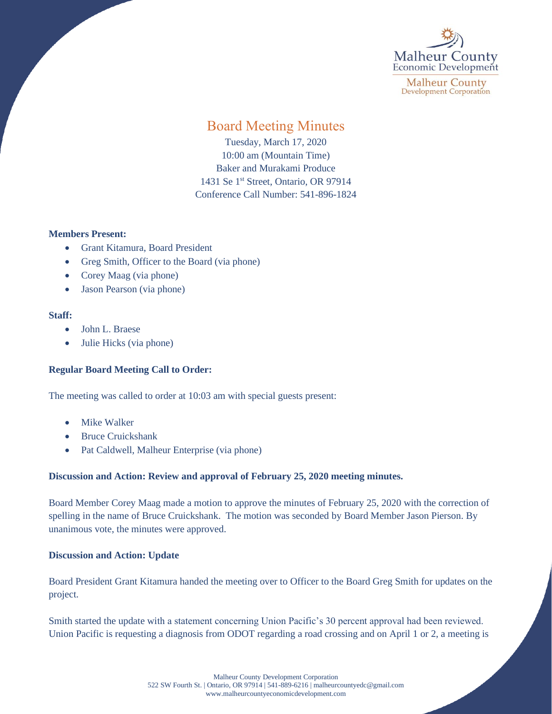

**Malheur County Development Corporation** 

# Board Meeting Minutes

Tuesday, March 17, 2020 10:00 am (Mountain Time) Baker and Murakami Produce 1431 Se 1<sup>st</sup> Street, Ontario, OR 97914 Conference Call Number: 541-896-1824

#### **Members Present:**

- Grant Kitamura, Board President
- Greg Smith, Officer to the Board (via phone)
- Corey Maag (via phone)
- Jason Pearson (via phone)

### **Staff:**

- John L. Braese
- Julie Hicks (via phone)

## **Regular Board Meeting Call to Order:**

The meeting was called to order at 10:03 am with special guests present:

- Mike Walker
- Bruce Cruickshank
- Pat Caldwell, Malheur Enterprise (via phone)

## **Discussion and Action: Review and approval of February 25, 2020 meeting minutes.**

Board Member Corey Maag made a motion to approve the minutes of February 25, 2020 with the correction of spelling in the name of Bruce Cruickshank. The motion was seconded by Board Member Jason Pierson. By unanimous vote, the minutes were approved.

## **Discussion and Action: Update**

Board President Grant Kitamura handed the meeting over to Officer to the Board Greg Smith for updates on the project.

Smith started the update with a statement concerning Union Pacific's 30 percent approval had been reviewed. Union Pacific is requesting a diagnosis from ODOT regarding a road crossing and on April 1 or 2, a meeting is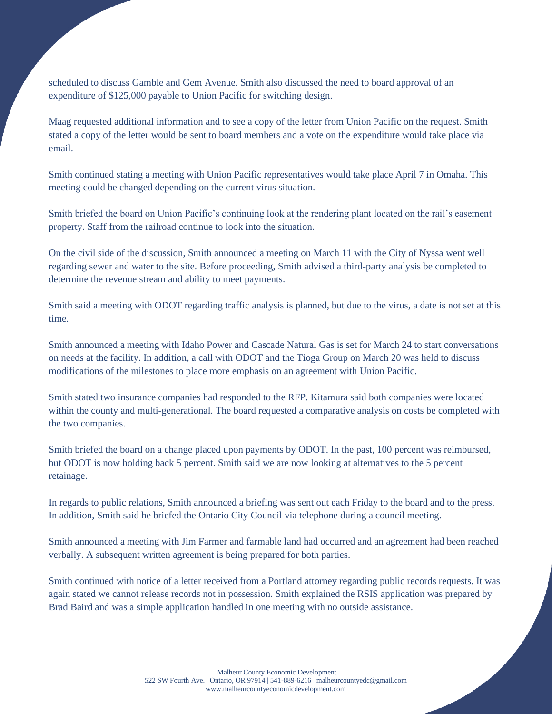scheduled to discuss Gamble and Gem Avenue. Smith also discussed the need to board approval of an expenditure of \$125,000 payable to Union Pacific for switching design.

Maag requested additional information and to see a copy of the letter from Union Pacific on the request. Smith stated a copy of the letter would be sent to board members and a vote on the expenditure would take place via email.

Smith continued stating a meeting with Union Pacific representatives would take place April 7 in Omaha. This meeting could be changed depending on the current virus situation.

Smith briefed the board on Union Pacific's continuing look at the rendering plant located on the rail's easement property. Staff from the railroad continue to look into the situation.

On the civil side of the discussion, Smith announced a meeting on March 11 with the City of Nyssa went well regarding sewer and water to the site. Before proceeding, Smith advised a third-party analysis be completed to determine the revenue stream and ability to meet payments.

Smith said a meeting with ODOT regarding traffic analysis is planned, but due to the virus, a date is not set at this time.

Smith announced a meeting with Idaho Power and Cascade Natural Gas is set for March 24 to start conversations on needs at the facility. In addition, a call with ODOT and the Tioga Group on March 20 was held to discuss modifications of the milestones to place more emphasis on an agreement with Union Pacific.

Smith stated two insurance companies had responded to the RFP. Kitamura said both companies were located within the county and multi-generational. The board requested a comparative analysis on costs be completed with the two companies.

Smith briefed the board on a change placed upon payments by ODOT. In the past, 100 percent was reimbursed, but ODOT is now holding back 5 percent. Smith said we are now looking at alternatives to the 5 percent retainage.

In regards to public relations, Smith announced a briefing was sent out each Friday to the board and to the press. In addition, Smith said he briefed the Ontario City Council via telephone during a council meeting.

Smith announced a meeting with Jim Farmer and farmable land had occurred and an agreement had been reached verbally. A subsequent written agreement is being prepared for both parties.

Smith continued with notice of a letter received from a Portland attorney regarding public records requests. It was again stated we cannot release records not in possession. Smith explained the RSIS application was prepared by Brad Baird and was a simple application handled in one meeting with no outside assistance.